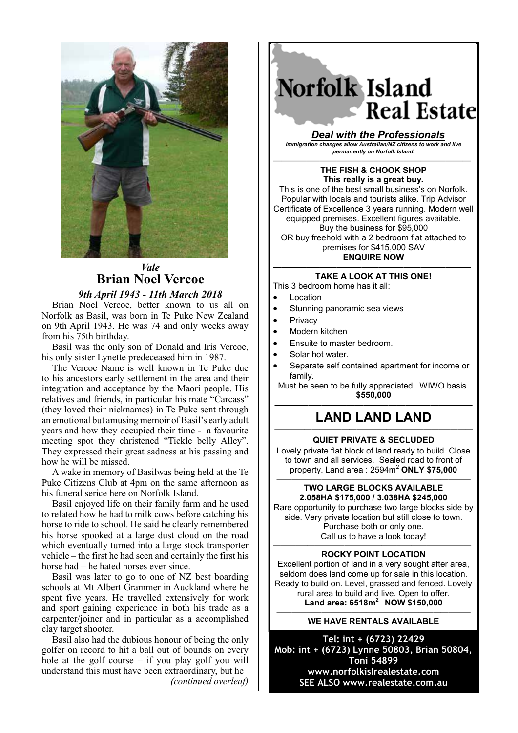

## *Vale* **Brian Noel Vercoe** *9th April 1943 - 11th March 2018*

Brian Noel Vercoe, better known to us all on Norfolk as Basil, was born in Te Puke New Zealand on 9th April 1943. He was 74 and only weeks away from his 75th birthday.

Basil was the only son of Donald and Iris Vercoe, his only sister Lynette predeceased him in 1987.

The Vercoe Name is well known in Te Puke due to his ancestors early settlement in the area and their integration and acceptance by the Maori people. His relatives and friends, in particular his mate "Carcass" (they loved their nicknames) in Te Puke sent through an emotional but amusing memoir of Basil's early adult years and how they occupied their time - a favourite meeting spot they christened "Tickle belly Alley". They expressed their great sadness at his passing and how he will be missed.

A wake in memory of Basilwas being held at the Te Puke Citizens Club at 4pm on the same afternoon as his funeral serice here on Norfolk Island.

Basil enjoyed life on their family farm and he used to related how he had to milk cows before catching his horse to ride to school. He said he clearly remembered his horse spooked at a large dust cloud on the road which eventually turned into a large stock transporter vehicle – the first he had seen and certainly the first his horse had – he hated horses ever since.

Basil was later to go to one of NZ best boarding schools at Mt Albert Grammer in Auckland where he spent five years. He travelled extensively for work and sport gaining experience in both his trade as a carpenter/joiner and in particular as a accomplished clay target shooter.

Basil also had the dubious honour of being the only golfer on record to hit a ball out of bounds on every hole at the golf course – if you play golf you will understand this must have been extraordinary, but he *(continued overleaf)*

Norfolk Island **Real Estate** 

*Deal with the Professionals Immigration changes allow Australian/NZ citizens to work and live permanently on Norfolk Island.*

————–——————————————————— **THE FISH & CHOOK SHOP This really is a great buy.** This is one of the best small business's on Norfolk. Popular with locals and tourists alike. Trip Advisor Certificate of Excellence 3 years running. Modern well equipped premises. Excellent figures available. Buy the business for \$95,000 OR buy freehold with a 2 bedroom flat attached to premises for \$415,000 SAV **ENQUIRE NOW**

#### ————–——————————————————— **TAKE A LOOK AT THIS ONE!**

- This 3 bedroom home has it all:
- Location
- Stunning panoramic sea views
- Privacy
- Modern kitchen
- Ensuite to master bedroom.
- Solar hot water.
- Separate self contained apartment for income or family.

Must be seen to be fully appreciated. WIWO basis. **\$550,000**

## ————–——————————————————— **LAND LAND LAND**

### ———————————————————————–——— **QUIET PRIVATE & SECLUDED**

Lovely private flat block of land ready to build. Close to town and all services. Sealed road to front of property. Land area : 2594m<sup>2</sup> **ONLY \$75,000**

#### —————————————————————————— **TWO LARGE BLOCKS AVAILABLE 2.058HA \$175,000 / 3.038HA \$245,000**

Rare opportunity to purchase two large blocks side by side. Very private location but still close to town. Purchase both or only one. Call us to have a look today! *————–——————————————————————*

## **ROCKY POINT LOCATION**

Excellent portion of land in a very sought after area, seldom does land come up for sale in this location. Ready to build on. Level, grassed and fenced. Lovely rural area to build and live. Open to offer. **Land area: 6518m2 NOW \$150,000**

#### —————————————————————————— **WE HAVE RENTALS AVAILABLE**

**Tel: int + (6723) 22429 Mob: int + (6723) Lynne 50803, Brian 50804, Toni 54899 www.norfolkislrealestate.com SEE ALSO www.realestate.com.au**